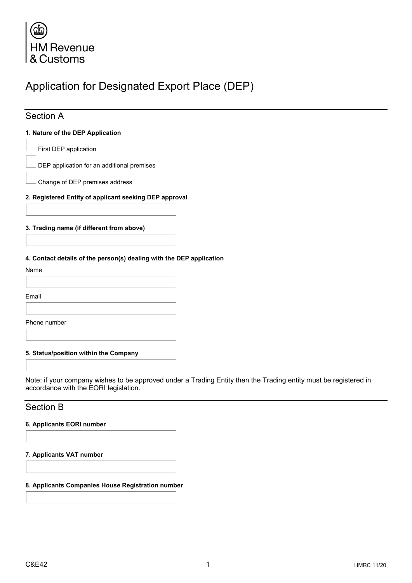

# Application for Designated Export Place (DEP)

## Section A

#### **1. Nature of the DEP Application**

First DEP application

DEP application for an additional premises

Change of DEP premises address

#### **2. Registered Entity of applicant seeking DEP approval**

#### **3. Trading name (if different from above)**

**4. Contact details of the person(s) dealing with the DEP application**

Name

Email

Phone number

**5. Status/position within the Company**

Note: if your company wishes to be approved under a Trading Entity then the Trading entity must be registered in accordance with the EORI legislation.

### Section B

#### **6. Applicants EORI number**

**7. Applicants VAT number**

**8. Applicants Companies House Registration number**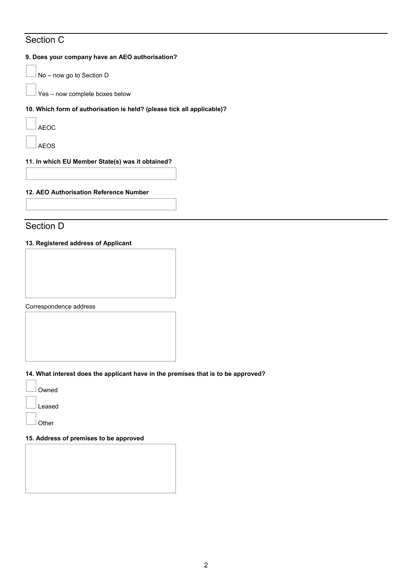## Section C

#### **9. Does your company have an AEO authorisation?**

No – now go to Section D

Yes – now complete boxes below

#### **10. Which form of authorisation is held? (please tick all applicable)?**

AEOC

AEOS

#### **11. In which EU Member State(s) was it obtained?**

#### **12. AEO Authorisation Reference Number**

### Section D

#### **13. Registered address of Applicant**

Correspondence address

#### **14. What interest does the applicant have in the premises that is to be approved?**

Owned Leased **Other** 

#### **15. Address of premises to be approved**

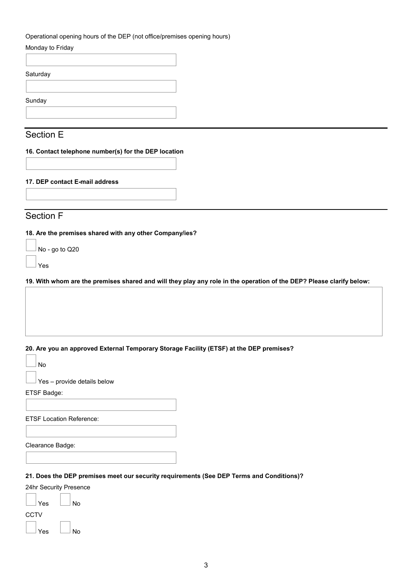| Monday to Friday                                                                             |                                                                                                                      |
|----------------------------------------------------------------------------------------------|----------------------------------------------------------------------------------------------------------------------|
|                                                                                              |                                                                                                                      |
| Saturday                                                                                     |                                                                                                                      |
|                                                                                              |                                                                                                                      |
| Sunday                                                                                       |                                                                                                                      |
|                                                                                              |                                                                                                                      |
|                                                                                              |                                                                                                                      |
| Section E                                                                                    |                                                                                                                      |
| 16. Contact telephone number(s) for the DEP location                                         |                                                                                                                      |
|                                                                                              |                                                                                                                      |
|                                                                                              |                                                                                                                      |
| 17. DEP contact E-mail address                                                               |                                                                                                                      |
|                                                                                              |                                                                                                                      |
|                                                                                              |                                                                                                                      |
| Section F                                                                                    |                                                                                                                      |
| Yes                                                                                          | 19. With whom are the premises shared and will they play any role in the operation of the DEP? Please clarify below: |
|                                                                                              |                                                                                                                      |
| No                                                                                           | 20. Are you an approved External Temporary Storage Facility (ETSF) at the DEP premises?                              |
| Yes - provide details below                                                                  |                                                                                                                      |
|                                                                                              |                                                                                                                      |
|                                                                                              |                                                                                                                      |
|                                                                                              |                                                                                                                      |
|                                                                                              |                                                                                                                      |
|                                                                                              |                                                                                                                      |
|                                                                                              |                                                                                                                      |
|                                                                                              |                                                                                                                      |
| ETSF Badge:<br><b>ETSF Location Reference:</b><br>Clearance Badge:<br>24hr Security Presence | 21. Does the DEP premises meet our security requirements (See DEP Terms and Conditions)?                             |
| Yes<br>No                                                                                    |                                                                                                                      |

 $\Box$  Yes  $\Box$  No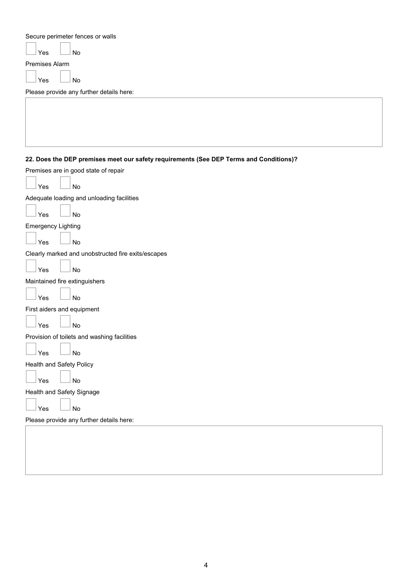Secure perimeter fences or walls

 $Yes \Box No$ 

Premises Alarm

 $\log$   $\Box$  No

Please provide any further details here:

**22. Does the DEP premises meet our safety requirements (See DEP Terms and Conditions)?**

| Premises are in good state of repair               |
|----------------------------------------------------|
| Yes<br><b>No</b>                                   |
| Adequate loading and unloading facilities          |
| Yes<br>No                                          |
| <b>Emergency Lighting</b>                          |
| No<br>Yes                                          |
| Clearly marked and unobstructed fire exits/escapes |
| <b>No</b><br>Yes                                   |
| Maintained fire extinguishers                      |
| Yes<br>No                                          |
| First aiders and equipment                         |
| <b>No</b><br>Yes                                   |
| Provision of toilets and washing facilities        |
| Yes<br><b>No</b>                                   |
| Health and Safety Policy                           |
| Yes<br>No                                          |
| Health and Safety Signage                          |
| No<br>Yes                                          |
| Please provide any further details here:           |
|                                                    |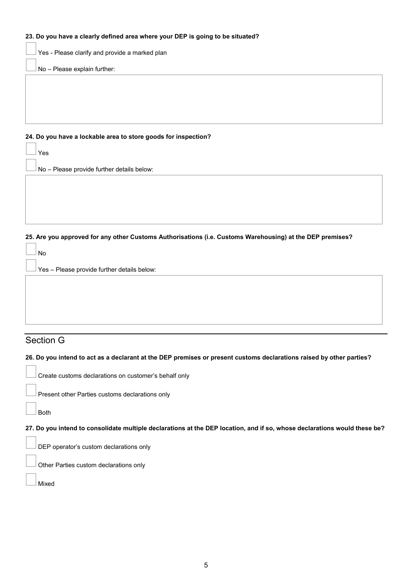#### **23. Do you have a clearly defined area where your DEP is going to be situated?**

Yes - Please clarify and provide a marked plan

No – Please explain further:

#### **24. Do you have a lockable area to store goods for inspection?**

 $\Box$  No – Please provide further details below:

**25. Are you approved for any other Customs Authorisations (i.e. Customs Warehousing) at the DEP premises?**

| <b>No</b>                                           |  |
|-----------------------------------------------------|--|
| $\perp$ Yes – Please provide further details below: |  |
|                                                     |  |
|                                                     |  |
|                                                     |  |
|                                                     |  |

## Section G

#### **26. Do you intend to act as a declarant at the DEP premises or present customs declarations raised by other parties?**

Present other Parties customs declarations only

Both

 $\Gamma$ ٦

**27. Do you intend to consolidate multiple declarations at the DEP location, and if so, whose declarations would these be?**

DEP operator's custom declarations only

Other Parties custom declarations only

Mixed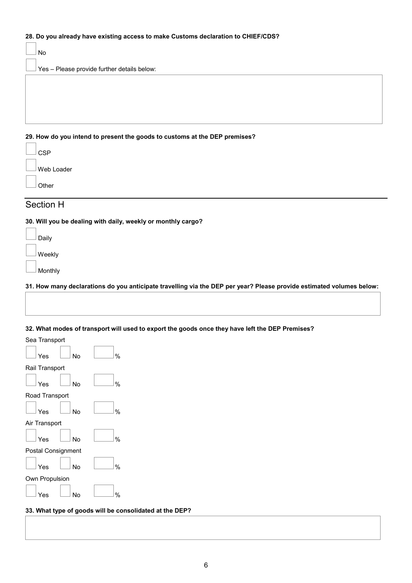#### **28. Do you already have existing access to make Customs declaration to CHIEF/CDS?**

|                                                                            | No                                          |
|----------------------------------------------------------------------------|---------------------------------------------|
|                                                                            | Yes - Please provide further details below: |
|                                                                            |                                             |
|                                                                            |                                             |
|                                                                            |                                             |
|                                                                            |                                             |
| 29. How do you intend to present the goods to customs at the DEP premises? |                                             |
|                                                                            |                                             |

| CSP        |
|------------|
| Web Loader |
| Other      |

### Section H

**30. Will you be dealing with daily, weekly or monthly cargo?**

| Daily   |
|---------|
| Weekly  |
| Monthly |

**31. How many declarations do you anticipate travelling via the DEP per year? Please provide estimated volumes below:**

#### **32. What modes of transport will used to export the goods once they have left the DEP Premises?**

| Sea Transport<br>No<br>Yes  | $\frac{0}{0}$ |
|-----------------------------|---------------|
| Rail Transport<br>No<br>Yes | $\frac{0}{0}$ |
| Road Transport<br>No<br>Yes | $\frac{0}{0}$ |
| Air Transport<br>No<br>Yes  | $\frac{0}{0}$ |
| Postal Consignment          |               |
| No<br>Yes                   | $\frac{0}{0}$ |

#### **33. What type of goods will be consolidated at the DEP?**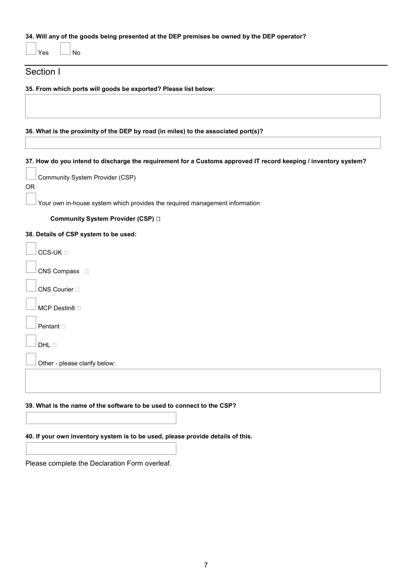#### **34. Will any of the goods being presented at the DEP premises be owned by the DEP operator?**

 $Yes \quad \Box$  No

#### Section I

 $\Gamma$ ٦

**35. From which ports will goods be exported? Please list below:**

**36. What is the proximity of the DEP by road (in miles) to the associated port(s)?**

**37. How do you intend to discharge the requirement for a Customs approved IT record keeping / inventory system?**

|     | Community System Provider (CSP) |
|-----|---------------------------------|
| OR. |                                 |

Your own in-house system which provides the required management information

**Community System Provider (CSP)** 

#### **38. Details of CSP system to be used:**

| $CCS-UK \sqcap$               |
|-------------------------------|
| CNS Compass $\square$         |
| CNS Courier <sup>[]</sup>     |
| MCP Destin8 $\Box$            |
| Pentant $\Box$                |
| $DHL \Box$                    |
| Other - please clarify below: |
|                               |

#### **39. What is the name of the software to be used to connect to the CSP?**

#### **40. If your own inventory system is to be used, please provide details of this.**

Please complete the Declaration Form overleaf.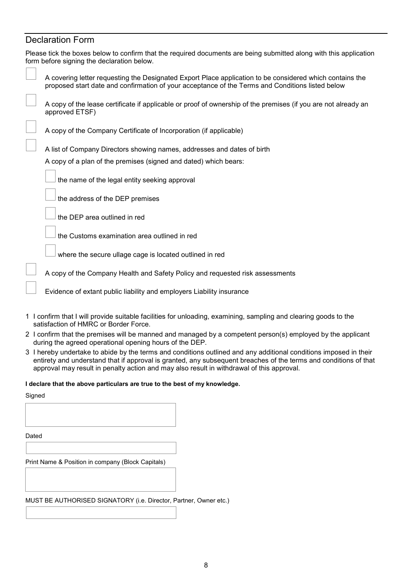## Declaration Form

| Please tick the boxes below to confirm that the required documents are being submitted along with this application<br>form before signing the declaration below.                                                                                                                                                                   |
|------------------------------------------------------------------------------------------------------------------------------------------------------------------------------------------------------------------------------------------------------------------------------------------------------------------------------------|
| A covering letter requesting the Designated Export Place application to be considered which contains the<br>proposed start date and confirmation of your acceptance of the Terms and Conditions listed below                                                                                                                       |
| A copy of the lease certificate if applicable or proof of ownership of the premises (if you are not already an<br>approved ETSF)                                                                                                                                                                                                   |
| A copy of the Company Certificate of Incorporation (if applicable)                                                                                                                                                                                                                                                                 |
| A list of Company Directors showing names, addresses and dates of birth                                                                                                                                                                                                                                                            |
| A copy of a plan of the premises (signed and dated) which bears:                                                                                                                                                                                                                                                                   |
| the name of the legal entity seeking approval                                                                                                                                                                                                                                                                                      |
| the address of the DEP premises                                                                                                                                                                                                                                                                                                    |
| the DEP area outlined in red                                                                                                                                                                                                                                                                                                       |
| the Customs examination area outlined in red                                                                                                                                                                                                                                                                                       |
| where the secure ullage cage is located outlined in red                                                                                                                                                                                                                                                                            |
| A copy of the Company Health and Safety Policy and requested risk assessments                                                                                                                                                                                                                                                      |
| Evidence of extant public liability and employers Liability insurance                                                                                                                                                                                                                                                              |
| 1 I confirm that I will provide suitable facilities for unloading, examining, sampling and clearing goods to the<br>satisfaction of HMRC or Border Force.                                                                                                                                                                          |
| 2 I confirm that the premises will be manned and managed by a competent person(s) employed by the applicant<br>during the agreed operational opening hours of the DEP.                                                                                                                                                             |
| 3 I hereby undertake to abide by the terms and conditions outlined and any additional conditions imposed in their<br>entirety and understand that if approval is granted, any subsequent breaches of the terms and conditions of that<br>approval may result in penalty action and may also result in withdrawal of this approval. |
| I declare that the above particulars are true to the best of my knowledge.                                                                                                                                                                                                                                                         |
| Signed                                                                                                                                                                                                                                                                                                                             |
|                                                                                                                                                                                                                                                                                                                                    |
| Dated                                                                                                                                                                                                                                                                                                                              |
|                                                                                                                                                                                                                                                                                                                                    |
| Print Name & Position in company (Block Capitals)                                                                                                                                                                                                                                                                                  |

MUST BE AUTHORISED SIGNATORY (i.e. Director, Partner, Owner etc.)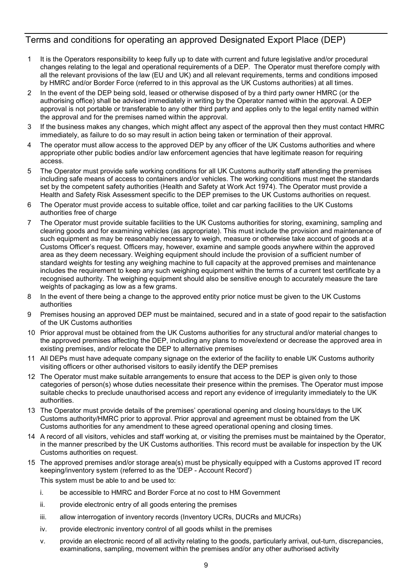### Terms and conditions for operating an approved Designated Export Place (DEP)

- 1 It is the Operators responsibility to keep fully up to date with current and future legislative and/or procedural changes relating to the legal and operational requirements of a DEP. The Operator must therefore comply with all the relevant provisions of the law (EU and UK) and all relevant requirements, terms and conditions imposed by HMRC and/or Border Force (referred to in this approval as the UK Customs authorities) at all times.
- 2 In the event of the DEP being sold, leased or otherwise disposed of by a third party owner HMRC (or the authorising office) shall be advised immediately in writing by the Operator named within the approval. A DEP approval is not portable or transferable to any other third party and applies only to the legal entity named within the approval and for the premises named within the approval.
- 3 If the business makes any changes, which might affect any aspect of the approval then they must contact HMRC immediately, as failure to do so may result in action being taken or termination of their approval.
- 4 The operator must allow access to the approved DEP by any officer of the UK Customs authorities and where appropriate other public bodies and/or law enforcement agencies that have legitimate reason for requiring access.
- 5 The Operator must provide safe working conditions for all UK Customs authority staff attending the premises including safe means of access to containers and/or vehicles. The working conditions must meet the standards set by the competent safety authorities (Health and Safety at Work Act 1974). The Operator must provide a Health and Safety Risk Assessment specific to the DEP premises to the UK Customs authorities on request.
- 6 The Operator must provide access to suitable office, toilet and car parking facilities to the UK Customs authorities free of charge
- 7 The Operator must provide suitable facilities to the UK Customs authorities for storing, examining, sampling and clearing goods and for examining vehicles (as appropriate). This must include the provision and maintenance of such equipment as may be reasonably necessary to weigh, measure or otherwise take account of goods at a Customs Officer's request. Officers may, however, examine and sample goods anywhere within the approved area as they deem necessary. Weighing equipment should include the provision of a sufficient number of standard weights for testing any weighing machine to full capacity at the approved premises and maintenance includes the requirement to keep any such weighing equipment within the terms of a current test certificate by a recognised authority. The weighing equipment should also be sensitive enough to accurately measure the tare weights of packaging as low as a few grams.
- 8 In the event of there being a change to the approved entity prior notice must be given to the UK Customs authorities
- 9 Premises housing an approved DEP must be maintained, secured and in a state of good repair to the satisfaction of the UK Customs authorities
- 10 Prior approval must be obtained from the UK Customs authorities for any structural and/or material changes to the approved premises affecting the DEP, including any plans to move/extend or decrease the approved area in existing premises, and/or relocate the DEP to alternative premises
- 11 All DEPs must have adequate company signage on the exterior of the facility to enable UK Customs authority visiting officers or other authorised visitors to easily identify the DEP premises
- 12 The Operator must make suitable arrangements to ensure that access to the DEP is given only to those categories of person(s) whose duties necessitate their presence within the premises. The Operator must impose suitable checks to preclude unauthorised access and report any evidence of irregularity immediately to the UK authorities.
- 13 The Operator must provide details of the premises' operational opening and closing hours/days to the UK Customs authority/HMRC prior to approval. Prior approval and agreement must be obtained from the UK Customs authorities for any amendment to these agreed operational opening and closing times.
- 14 A record of all visitors, vehicles and staff working at, or visiting the premises must be maintained by the Operator, in the manner prescribed by the UK Customs authorities. This record must be available for inspection by the UK Customs authorities on request.
- 15 The approved premises and/or storage area(s) must be physically equipped with a Customs approved IT record keeping/inventory system (referred to as the 'DEP - Account Record')

This system must be able to and be used to:

- i. be accessible to HMRC and Border Force at no cost to HM Government
- ii. provide electronic entry of all goods entering the premises
- iii. allow interrogation of inventory records (Inventory UCRs, DUCRs and MUCRs)
- iv. provide electronic inventory control of all goods whilst in the premises
- v. provide an electronic record of all activity relating to the goods, particularly arrival, out-turn, discrepancies, examinations, sampling, movement within the premises and/or any other authorised activity